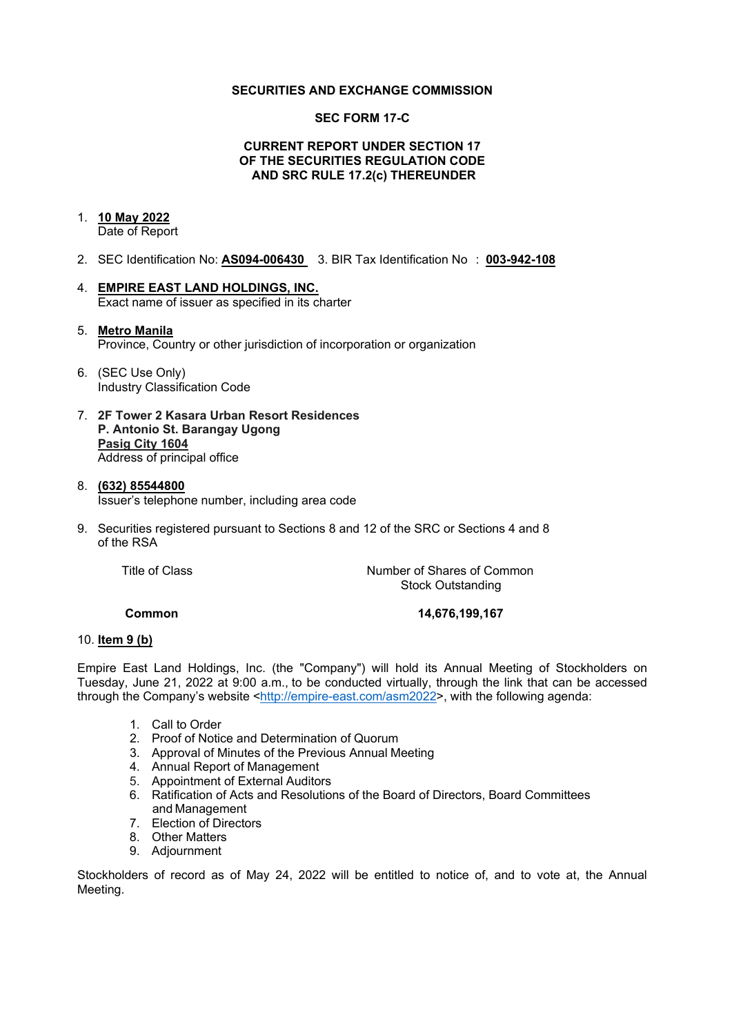#### **SECURITIES AND EXCHANGE COMMISSION**

#### **SEC FORM 17-C**

#### **CURRENT REPORT UNDER SECTION 17 OF THE SECURITIES REGULATION CODE AND SRC RULE 17.2(c) THEREUNDER**

# 1. **10 May 2022**

Date of Report

- 2. SEC Identification No: **AS094-006430** 3. BIR Tax Identification No : **003-942-108**
- 4. **EMPIRE EAST LAND HOLDINGS, INC.** Exact name of issuer as specified in its charter

#### 5. **Metro Manila** Province, Country or other jurisdiction of incorporation or organization

- 6. (SEC Use Only) Industry Classification Code
- 7. **2F Tower 2 Kasara Urban Resort Residences P. Antonio St. Barangay Ugong Pasig City 1604** Address of principal office
- 8. **(632) 85544800** Issuer's telephone number, including area code
- 9. Securities registered pursuant to Sections 8 and 12 of the SRC or Sections 4 and 8 of the RSA

Title of Class *Number of Shares of Common* Stock Outstanding

**Common 14,676,199,167**

#### 10. **Item 9 (b)**

Empire East Land Holdings, Inc. (the "Company") will hold its Annual Meeting of Stockholders on Tuesday, June 21, 2022 at 9:00 a.m., to be conducted virtually, through the link that can be accessed through the Company's website [<http://empire-east.com/asm2022>](http://empire-east.com/asm2022), with the following agenda:

- 1. Call to Order
- 2. Proof of Notice and Determination of Quorum
- 3. Approval of Minutes of the Previous Annual Meeting
- 4. Annual Report of Management
- 5. Appointment of External Auditors
- 6. Ratification of Acts and Resolutions of the Board of Directors, Board Committees and Management
- 7. Election of Directors
- 8. Other Matters
- 9. Adjournment

Stockholders of record as of May 24, 2022 will be entitled to notice of, and to vote at, the Annual Meeting.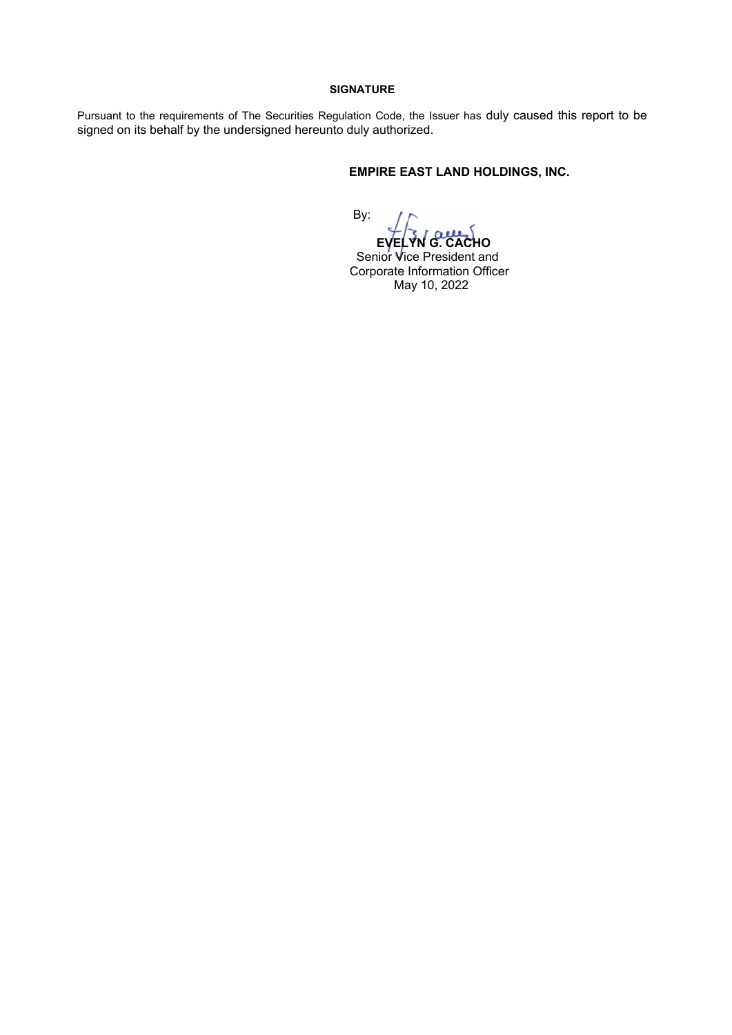#### **SIGNATURE**

Pursuant to the requirements of The Securities Regulation Code, the Issuer has duly caused this report to be signed on its behalf by the undersigned hereunto duly authorized.

## **EMPIRE EAST LAND HOLDINGS, INC.**

By:

 **EVELYN G. CACHO** Senior Vice President and Corporate Information Officer May 10, 2022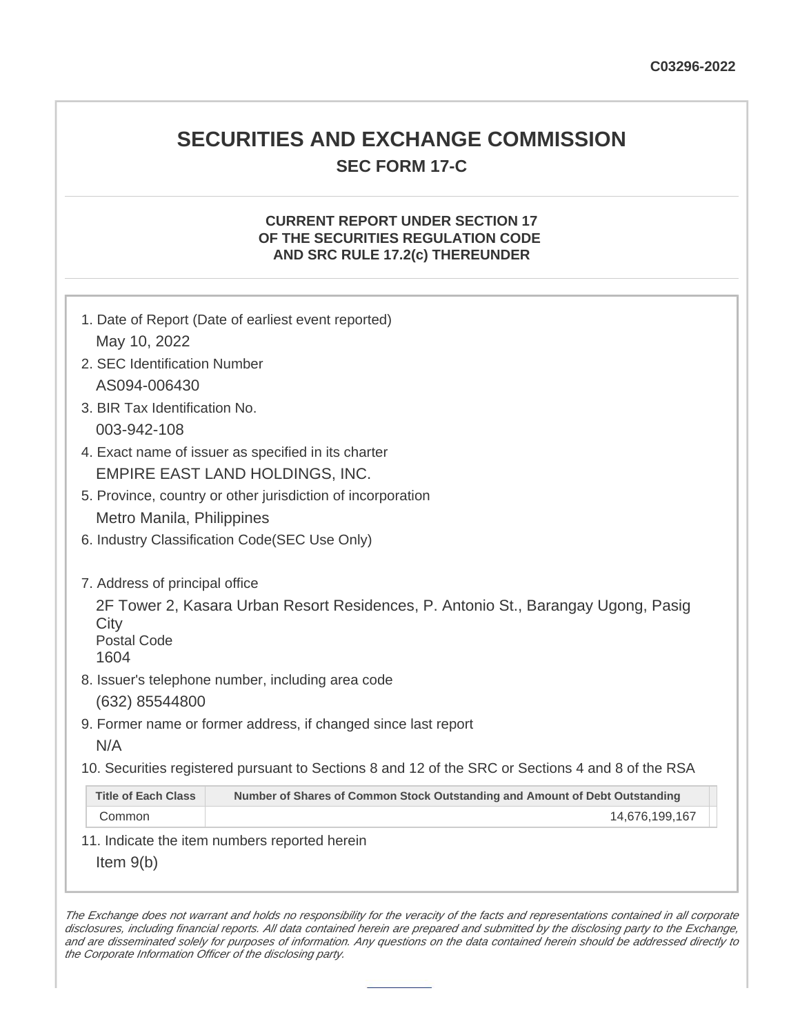# **SECURITIES AND EXCHANGE COMMISSION SEC FORM 17-C**

# **CURRENT REPORT UNDER SECTION 17 OF THE SECURITIES REGULATION CODE AND SRC RULE 17.2(c) THEREUNDER**

| 1. Date of Report (Date of earliest event reported)                                                                     |                                                                             |  |  |
|-------------------------------------------------------------------------------------------------------------------------|-----------------------------------------------------------------------------|--|--|
| May 10, 2022                                                                                                            |                                                                             |  |  |
| 2. SEC Identification Number                                                                                            |                                                                             |  |  |
| AS094-006430                                                                                                            |                                                                             |  |  |
| 3. BIR Tax Identification No.                                                                                           |                                                                             |  |  |
| 003-942-108                                                                                                             |                                                                             |  |  |
| 4. Exact name of issuer as specified in its charter                                                                     |                                                                             |  |  |
| EMPIRE EAST LAND HOLDINGS, INC.                                                                                         |                                                                             |  |  |
| 5. Province, country or other jurisdiction of incorporation                                                             |                                                                             |  |  |
| Metro Manila, Philippines                                                                                               |                                                                             |  |  |
| 6. Industry Classification Code(SEC Use Only)                                                                           |                                                                             |  |  |
|                                                                                                                         |                                                                             |  |  |
| 7. Address of principal office                                                                                          |                                                                             |  |  |
| 2F Tower 2, Kasara Urban Resort Residences, P. Antonio St., Barangay Ugong, Pasig<br>City<br><b>Postal Code</b><br>1604 |                                                                             |  |  |
| 8. Issuer's telephone number, including area code                                                                       |                                                                             |  |  |
| (632) 85544800                                                                                                          |                                                                             |  |  |
| 9. Former name or former address, if changed since last report                                                          |                                                                             |  |  |
| N/A                                                                                                                     |                                                                             |  |  |
|                                                                                                                         |                                                                             |  |  |
| 10. Securities registered pursuant to Sections 8 and 12 of the SRC or Sections 4 and 8 of the RSA                       |                                                                             |  |  |
| <b>Title of Each Class</b>                                                                                              | Number of Shares of Common Stock Outstanding and Amount of Debt Outstanding |  |  |
| Common                                                                                                                  | 14,676,199,167                                                              |  |  |
| 11. Indicate the item numbers reported herein                                                                           |                                                                             |  |  |
| Item $9(b)$                                                                                                             |                                                                             |  |  |

The Exchange does not warrant and holds no responsibility for the veracity of the facts and representations contained in all corporate disclosures, including financial reports. All data contained herein are prepared and submitted by the disclosing party to the Exchange, and are disseminated solely for purposes of information. Any questions on the data contained herein should be addressed directly to the Corporate Information Officer of the disclosing party.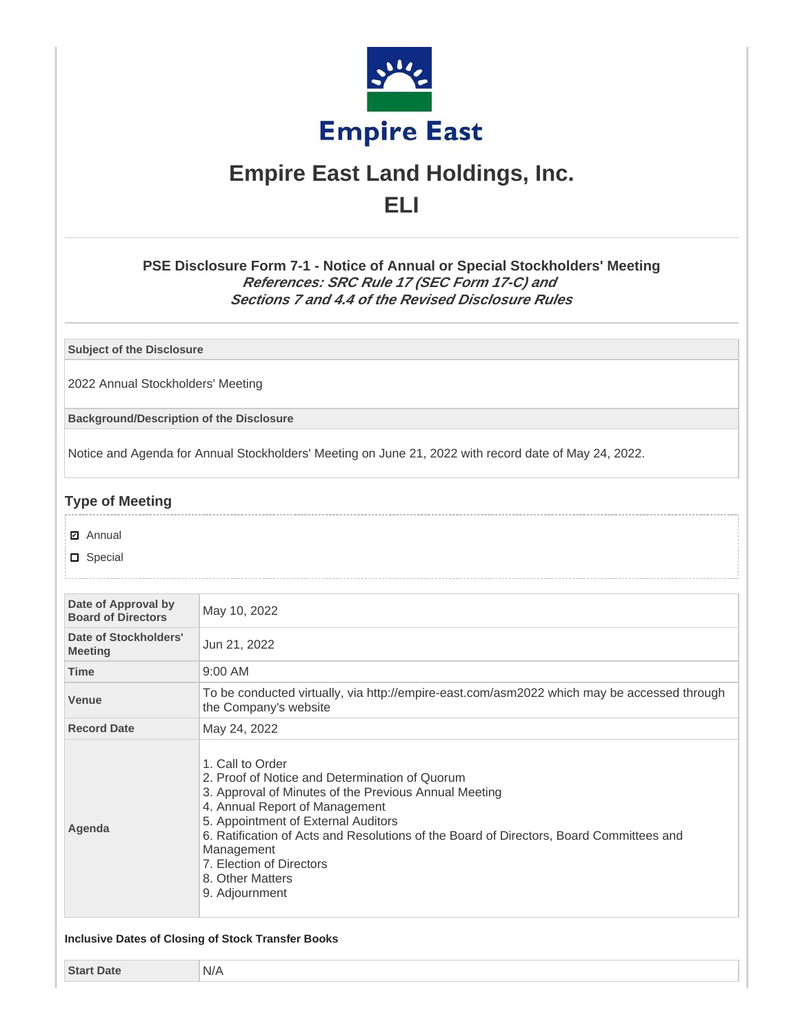

# **Empire East Land Holdings, Inc. ELI**

**PSE Disclosure Form 7-1 - Notice of Annual or Special Stockholders' Meeting References: SRC Rule 17 (SEC Form 17-C) and Sections 7 and 4.4 of the Revised Disclosure Rules**

**Subject of the Disclosure**

2022 Annual Stockholders' Meeting

**Background/Description of the Disclosure**

Notice and Agenda for Annual Stockholders' Meeting on June 21, 2022 with record date of May 24, 2022.

## **Type of Meeting**

- **☑** Annual
- D Special

| Date of Approval by<br><b>Board of Directors</b> | May 10, 2022                                                                                                                                                                                                                                                                                                                                                                    |  |  |
|--------------------------------------------------|---------------------------------------------------------------------------------------------------------------------------------------------------------------------------------------------------------------------------------------------------------------------------------------------------------------------------------------------------------------------------------|--|--|
| Date of Stockholders'<br><b>Meeting</b>          | Jun 21, 2022                                                                                                                                                                                                                                                                                                                                                                    |  |  |
| <b>Time</b>                                      | 9:00 AM                                                                                                                                                                                                                                                                                                                                                                         |  |  |
| <b>Venue</b>                                     | To be conducted virtually, via http://empire-east.com/asm2022 which may be accessed through<br>the Company's website                                                                                                                                                                                                                                                            |  |  |
| <b>Record Date</b>                               | May 24, 2022                                                                                                                                                                                                                                                                                                                                                                    |  |  |
| Agenda                                           | 1. Call to Order<br>2. Proof of Notice and Determination of Quorum<br>3. Approval of Minutes of the Previous Annual Meeting<br>4. Annual Report of Management<br>5. Appointment of External Auditors<br>6. Ratification of Acts and Resolutions of the Board of Directors, Board Committees and<br>Management<br>7. Election of Directors<br>8. Other Matters<br>9. Adjournment |  |  |

**Start Date** N/A